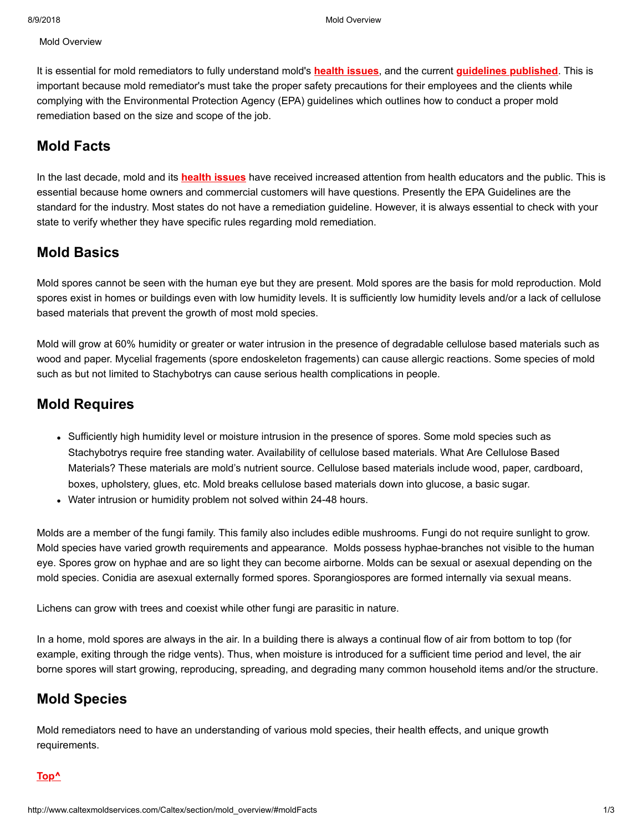Mold Overview

It is essential for mold remediators to fully understand mold's **[health issues](http://www.caltexmoldservices.com/section/health_effects/)**, and the current **[guidelines published](http://www.caltexmoldservices.com/section/epa_guidelines/)**. This is important because mold remediator's must take the proper safety precautions for their employees and the clients while complying with the Environmental Protection Agency (EPA) guidelines which outlines how to conduct a proper mold remediation based on the size and scope of the job.

## **Mold Facts**

In the last decade, mold and its **[health issues](http://www.caltexmoldservices.com/section/health_effects/)** have received increased attention from health educators and the public. This is essential because home owners and commercial customers will have questions. Presently the EPA Guidelines are the standard for the industry. Most states do not have a remediation guideline. However, it is always essential to check with your state to verify whether they have specific rules regarding mold remediation.

## **Mold Basics**

Mold spores cannot be seen with the human eye but they are present. Mold spores are the basis for mold reproduction. Mold spores exist in homes or buildings even with low humidity levels. It is sufficiently low humidity levels and/or a lack of cellulose based materials that prevent the growth of most mold species.

Mold will grow at 60% humidity or greater or water intrusion in the presence of degradable cellulose based materials such as wood and paper. Mycelial fragements (spore endoskeleton fragements) can cause allergic reactions. Some species of mold such as but not limited to Stachybotrys can cause serious health complications in people.

## **Mold Requires**

- Sufficiently high humidity level or moisture intrusion in the presence of spores. Some mold species such as Stachybotrys require free standing water. Availability of cellulose based materials. What Are Cellulose Based Materials? These materials are mold's nutrient source. Cellulose based materials include wood, paper, cardboard, boxes, upholstery, glues, etc. Mold breaks cellulose based materials down into glucose, a basic sugar.
- Water intrusion or humidity problem not solved within 24-48 hours.

Molds are a member of the fungi family. This family also includes edible mushrooms. Fungi do not require sunlight to grow. Mold species have varied growth requirements and appearance. Molds possess hyphae-branches not visible to the human eye. Spores grow on hyphae and are so light they can become airborne. Molds can be sexual or asexual depending on the mold species. Conidia are asexual externally formed spores. Sporangiospores are formed internally via sexual means.

Lichens can grow with trees and coexist while other fungi are parasitic in nature.

In a home, mold spores are always in the air. In a building there is always a continual flow of air from bottom to top (for example, exiting through the ridge vents). Thus, when moisture is introduced for a sufficient time period and level, the air borne spores will start growing, reproducing, spreading, and degrading many common household items and/or the structure.

## **Mold Species**

Mold remediators need to have an understanding of various mold species, their health effects, and unique growth requirements.

#### **[Top^](http://www.caltexmoldservices.com/Caltex/section/mold_overview/#top)**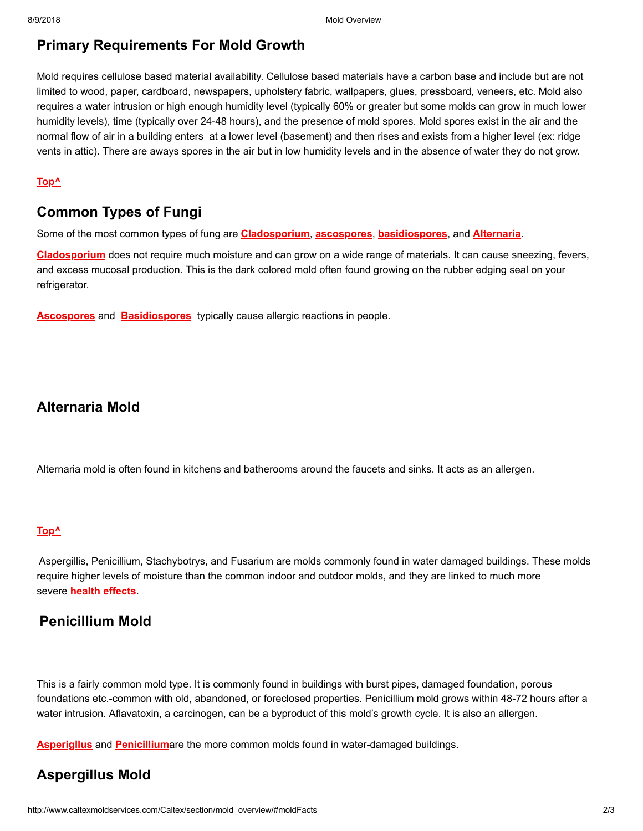# **Primary Requirements For Mold Growth**

Mold requires cellulose based material availability. Cellulose based materials have a carbon base and include but are not limited to wood, paper, cardboard, newspapers, upholstery fabric, wallpapers, glues, pressboard, veneers, etc. Mold also requires a water intrusion or high enough humidity level (typically 60% or greater but some molds can grow in much lower humidity levels), time (typically over 24-48 hours), and the presence of mold spores. Mold spores exist in the air and the normal flow of air in a building enters at a lower level (basement) and then rises and exists from a higher level (ex: ridge vents in attic). There are aways spores in the air but in low humidity levels and in the absence of water they do not grow.

#### **[Top^](http://www.caltexmoldservices.com/Caltex/section/mold_overview/#top)**

# **Common Types of Fungi**

Some of the most common types of fung are **[Cladosporium](http://www.caltexmoldservices.com/section/mold_library/cladosporium/)**, **[ascospores](http://www.caltexmoldservices.com/section/mold_library/ascospores/)**, **[basidiospores](http://www.caltexmoldservices.com/section/mold_library/basidiospores/)**, and **[Alternaria](http://www.caltexmoldservices.com/section/mold_library/alternaria/)**.

**[Cladosporium](http://www.caltexmoldservices.com/section/mold_library/cladosporium/)** does not require much moisture and can grow on a wide range of materials. It can cause sneezing, fevers, and excess mucosal production. This is the dark colored mold often found growing on the rubber edging seal on your refrigerator.

**[Ascospores](http://www.caltexmoldservices.com/section/mold_library/ascospores/)** and **[Basidiospores](http://www.caltexmoldservices.com/section/mold_library/basidiospores/)** typically cause allergic reactions in people.

## **Alternaria Mold**

Alternaria mold is often found in kitchens and batherooms around the faucets and sinks. It acts as an allergen.

#### **[Top^](http://www.caltexmoldservices.com/Caltex/section/mold_overview/#top)**

Aspergillis, Penicillium, Stachybotrys, and Fusarium are molds commonly found in water damaged buildings. These molds require higher levels of moisture than the common indoor and outdoor molds, and they are linked to much more severe **[health effects](http://www.caltexmoldservices.com/section/health_effects/)**.

## **Penicillium Mold**

This is a fairly common mold type. It is commonly found in buildings with burst pipes, damaged foundation, porous foundations etc.-common with old, abandoned, or foreclosed properties. Penicillium mold grows within 48-72 hours after a water intrusion. Aflavatoxin, a carcinogen, can be a byproduct of this mold's growth cycle. It is also an allergen.

**[Asperigllus](http://www.caltexmoldservices.com/section/mold_library/asperigllus/)** and **[Penicillium](http://www.caltexmoldservices.com/section/mold_library/penicillium/)**are the more common molds found in water-damaged buildings.

## **Aspergillus Mold**